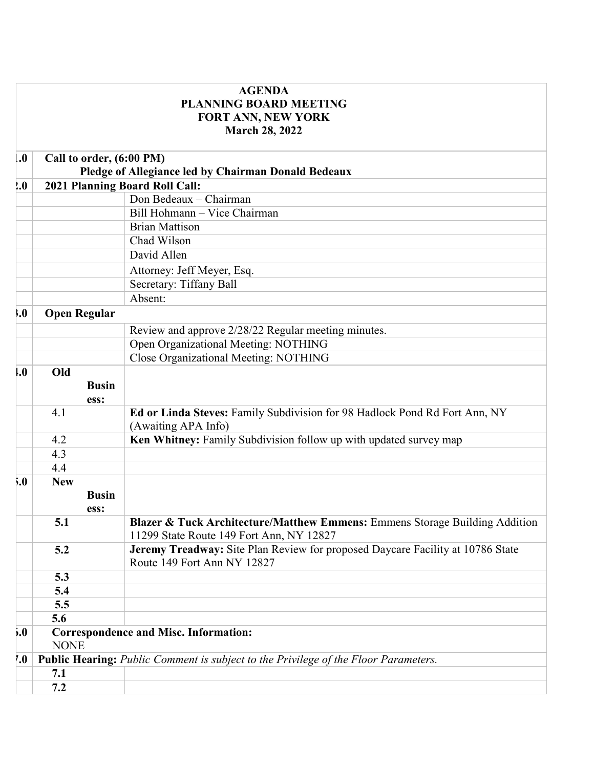|                    |                                                                                       | <b>AGENDA</b>                                                                                                           |  |
|--------------------|---------------------------------------------------------------------------------------|-------------------------------------------------------------------------------------------------------------------------|--|
|                    |                                                                                       | <b>PLANNING BOARD MEETING</b>                                                                                           |  |
|                    |                                                                                       | <b>FORT ANN, NEW YORK</b>                                                                                               |  |
|                    |                                                                                       | <b>March 28, 2022</b>                                                                                                   |  |
| $\boldsymbol{.0}$  | Call to order, (6:00 PM)                                                              |                                                                                                                         |  |
|                    | Pledge of Allegiance led by Chairman Donald Bedeaux<br>2021 Planning Board Roll Call: |                                                                                                                         |  |
| 0.9                |                                                                                       |                                                                                                                         |  |
|                    |                                                                                       | Don Bedeaux - Chairman                                                                                                  |  |
|                    |                                                                                       | Bill Hohmann - Vice Chairman                                                                                            |  |
|                    |                                                                                       | <b>Brian Mattison</b>                                                                                                   |  |
|                    |                                                                                       | Chad Wilson                                                                                                             |  |
|                    |                                                                                       | David Allen                                                                                                             |  |
|                    |                                                                                       | Attorney: Jeff Meyer, Esq.                                                                                              |  |
|                    |                                                                                       | Secretary: Tiffany Ball                                                                                                 |  |
|                    |                                                                                       | Absent:                                                                                                                 |  |
| 0.1                | <b>Open Regular</b>                                                                   |                                                                                                                         |  |
|                    |                                                                                       | Review and approve 2/28/22 Regular meeting minutes.                                                                     |  |
|                    |                                                                                       | Open Organizational Meeting: NOTHING                                                                                    |  |
|                    |                                                                                       | Close Organizational Meeting: NOTHING                                                                                   |  |
| $\mathbf{.0}$      | Old                                                                                   |                                                                                                                         |  |
|                    | <b>Busin</b>                                                                          |                                                                                                                         |  |
|                    | ess:                                                                                  |                                                                                                                         |  |
|                    | 4.1                                                                                   | Ed or Linda Steves: Family Subdivision for 98 Hadlock Pond Rd Fort Ann, NY<br>(Awaiting APA Info)                       |  |
|                    | 4.2                                                                                   | Ken Whitney: Family Subdivision follow up with updated survey map                                                       |  |
|                    | 4.3                                                                                   |                                                                                                                         |  |
|                    | 4.4                                                                                   |                                                                                                                         |  |
| 5.0                | <b>New</b>                                                                            |                                                                                                                         |  |
|                    | <b>Busin</b>                                                                          |                                                                                                                         |  |
|                    | ess:                                                                                  |                                                                                                                         |  |
|                    | 5.1                                                                                   | Blazer & Tuck Architecture/Matthew Emmens: Emmens Storage Building Addition<br>11299 State Route 149 Fort Ann, NY 12827 |  |
|                    | 5.2                                                                                   | Jeremy Treadway: Site Plan Review for proposed Daycare Facility at 10786 State<br>Route 149 Fort Ann NY 12827           |  |
|                    | 5.3                                                                                   |                                                                                                                         |  |
|                    | 5.4                                                                                   |                                                                                                                         |  |
|                    | 5.5                                                                                   |                                                                                                                         |  |
|                    | 5.6                                                                                   |                                                                                                                         |  |
| 5.0                |                                                                                       | <b>Correspondence and Misc. Information:</b>                                                                            |  |
|                    | <b>NONE</b>                                                                           |                                                                                                                         |  |
| $\boldsymbol{0}$ . | Public Hearing: Public Comment is subject to the Privilege of the Floor Parameters.   |                                                                                                                         |  |
|                    | 7.1                                                                                   |                                                                                                                         |  |
|                    | 7.2                                                                                   |                                                                                                                         |  |